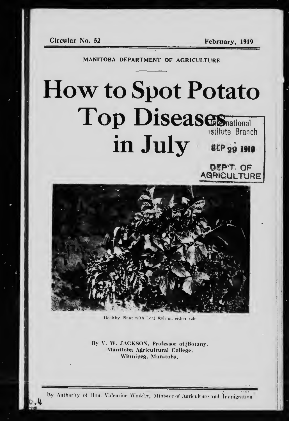February, 1919

DEP'T. OF

MANITOBA DEPARTMENT OF AGRICULTURE

## **How to Spot Potato Top Diseases**national estitute Branch in July SEP 29 1910



Healthy Plant with Leaf Roll on either side

By V. W. JACKSON, Professor of [Botany, Manitoba Agricultural College. Winnipeg, Manitoba.

By Anthority of Hon. Valentine Winkler, Minister of Agriculture and Immigration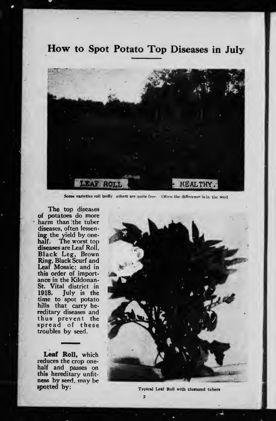## How to Spot Potato Top Diseases in July



Some varieties roll badly others are quite free. Often the difference is in the seed

The top diseases of potatoes do more harm than :the tuber diseases, often lessen ing the yield by onehalf. The worst top diseases are Leaf Roll, Black Leg, Brown Ring, Black Scurf and Leaf Mosaic; and in this order of import ance in the Kildonan-St. Vital district in 1918. July is the time to spot potato hills that carry hereditary diseases and thus prevent the spread of these troubles by seed.

Leaf Roll, which reduces the crop onehalf and passes on this hereditary unfit ness by seed, may be spotted by:



Typical Leaf Roll with clustered tubers

9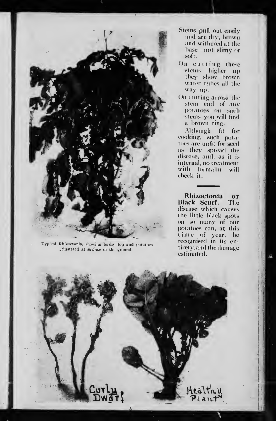

Typical Rhizoctonia, showing bushy top and potatoes ^-lustcrpfl at surfact- of the ground.

- Stems pull out easily and are dry, brown and withered at the base—not slimy or soft.
- On cutting these stems higher up they show hrown water tubes all the way up.
- On cutting across the stem end of any potatoes on such stems you will find a brown ring.

Although fit for rooking, such potatoes are unfit for seed as they spiead the disease, and, as it is internal, no treatment with formalin will check it.

Rhizoctonia or<br>lack Scurf. The Black Scurf. disease which causes the little black spots on so many of our potatoes can, at this time of year, be recognised in its entirety, and the damage estimated.

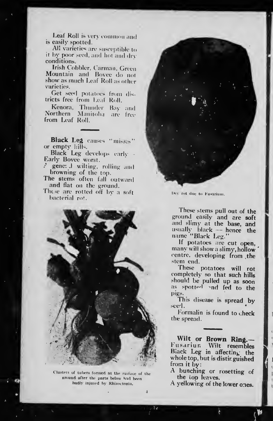Leaf Roll is very common and is easily spotted.

All varieties are susceptible to it by poor seed, and hot and dry conditions.

Irish Cobbler, Carman, Green<br>Mountain and Bovee do not show as much Leaf Roll as other Narieties.

Get see'l potatoes from dis tricts free from Leaf Roll.

Kenora, Thunder Bay and Northern Manitoba are free **f** from Leaf Roll.

Black Leg causes "misses" or empty hills.

Black Leg develops early -Early Bovee worst.

gene: .1 wilting, rolling and browning of the top.

The stems often fall outward and flat on the ground.

These are rotted off by a soft bacterial ro!.



Clusters of tubers formed at the fuiface of the ground after the parts below had been badly injured hy Khizoctonia.



Dry rot due to Fusarium.

These stems pull out of the ground easily and are soft and slimy at the base, and usually black — hence the name "Black Leg."

If potatoes are cut open, many will show <sup>a</sup> slimy, hollow centre, developing from the stem end.

These potatoes will rot completely so that such hills should be pulled up as soon as spotted and fed to the pigs.

This disease is spread by seed

Formalin is found to check the spread.

Wilt or Brown Ring.— Fusariun Wilt resembles Black Leg in affecting the whole top, but is distir guished from it by:

A bunching or rosetting of the top leaves.

A yellowing of the lower ones.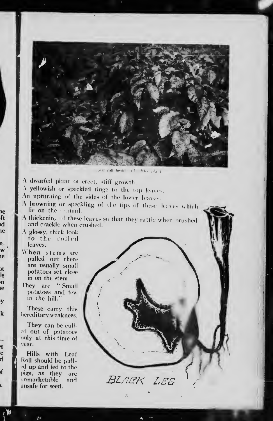

Leaf coll beside a let ithy plant

A dwarfed plant of erect, stiff growth.

A yellowish or speckled tinge to the top leaves.

An upturning of the sides of the lower leaves.

A browning or speckling of the tips of these leaves which lie on the  $\sim$  bund.

A thickening of these leaves so that they rattle when brushed and crackle when crushed.

A glossy, thick look to the rolled leaves.

ıe

ft

ıd ıe

n,

w

ie

bt

ls

'n

le

y

k

.s e

đ

f

i.

When stems are pulled out there are usually small potatoes set close in on the stem.

They are "Small potatoes and few in the hill.

These carry this hereditary weakness.

They can be culled out of potatoes only at this time of vear.

Hills with Leaf Roll should be pulled up and fed to the pigs, as they are unmarketable – and unsafe for seed.

BLACK LEG